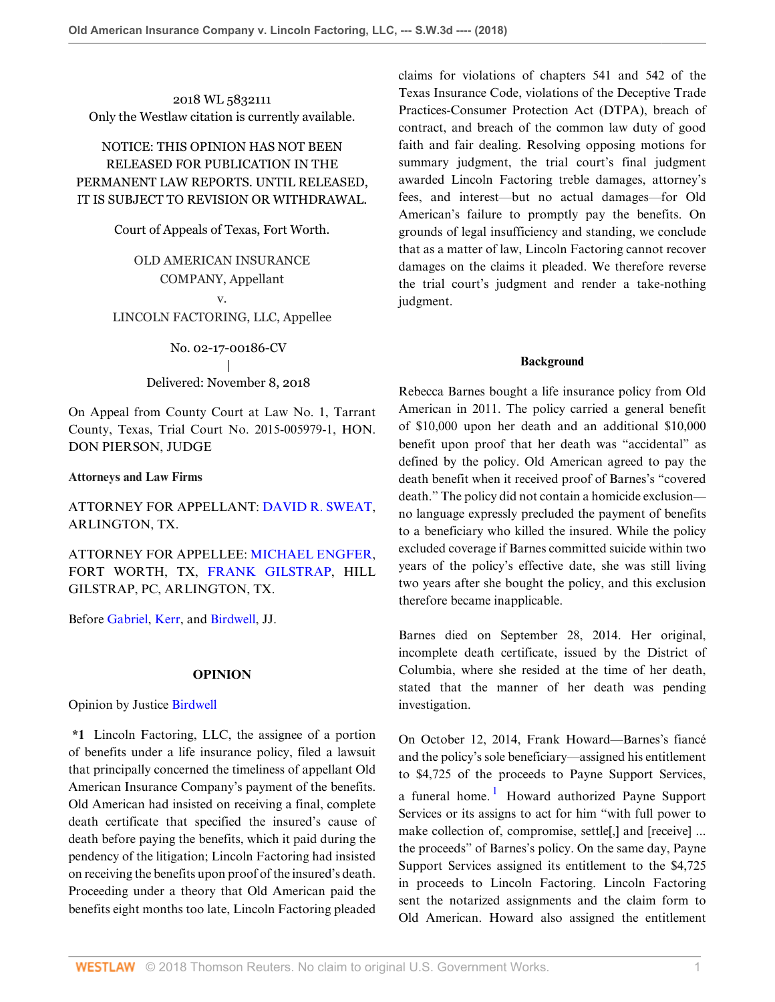2018 WL 5832111 Only the Westlaw citation is currently available.

# NOTICE: THIS OPINION HAS NOT BEEN RELEASED FOR PUBLICATION IN THE PERMANENT LAW REPORTS. UNTIL RELEASED, IT IS SUBJECT TO REVISION OR WITHDRAWAL.

### Court of Appeals of Texas, Fort Worth.

# OLD AMERICAN INSURANCE COMPANY, Appellant v.

# LINCOLN FACTORING, LLC, Appellee

No. 02-17-00186-CV | Delivered: November 8, 2018

On Appeal from County Court at Law No. 1, Tarrant County, Texas, Trial Court No. 2015-005979-1, HON. DON PIERSON, JUDGE

## **Attorneys and Law Firms**

# ATTORNEY FOR APPELLANT: [DAVID R. SWEAT](http://www.westlaw.com/Link/Document/FullText?findType=h&pubNum=176284&cite=0153830901&originatingDoc=I26caae20e38611e8a1b0e6625e646f8f&refType=RQ&originationContext=document&vr=3.0&rs=cblt1.0&transitionType=DocumentItem&contextData=(sc.Default)), ARLINGTON, TX.

ATTORNEY FOR APPELLEE: [MICHAEL ENGFER](http://www.westlaw.com/Link/Document/FullText?findType=h&pubNum=176284&cite=0482862001&originatingDoc=I26caae20e38611e8a1b0e6625e646f8f&refType=RQ&originationContext=document&vr=3.0&rs=cblt1.0&transitionType=DocumentItem&contextData=(sc.Default)), FORT WORTH, TX, [FRANK GILSTRAP,](http://www.westlaw.com/Link/Document/FullText?findType=h&pubNum=176284&cite=0247651501&originatingDoc=I26caae20e38611e8a1b0e6625e646f8f&refType=RQ&originationContext=document&vr=3.0&rs=cblt1.0&transitionType=DocumentItem&contextData=(sc.Default)) HILL GILSTRAP, PC, ARLINGTON, TX.

Before [Gabriel](http://www.westlaw.com/Link/Document/FullText?findType=h&pubNum=176284&cite=0151813101&originatingDoc=I26caae20e38611e8a1b0e6625e646f8f&refType=RQ&originationContext=document&vr=3.0&rs=cblt1.0&transitionType=DocumentItem&contextData=(sc.Default)), [Kerr,](http://www.westlaw.com/Link/Document/FullText?findType=h&pubNum=176284&cite=0442362899&originatingDoc=I26caae20e38611e8a1b0e6625e646f8f&refType=RQ&originationContext=document&vr=3.0&rs=cblt1.0&transitionType=DocumentItem&contextData=(sc.Default)) and [Birdwell](http://www.westlaw.com/Link/Document/FullText?findType=h&pubNum=176284&cite=0177630501&originatingDoc=I26caae20e38611e8a1b0e6625e646f8f&refType=RQ&originationContext=document&vr=3.0&rs=cblt1.0&transitionType=DocumentItem&contextData=(sc.Default)), JJ.

## **OPINION**

## Opinion by Justice [Birdwell](http://www.westlaw.com/Link/Document/FullText?findType=h&pubNum=176284&cite=0177630501&originatingDoc=I26caae20e38611e8a1b0e6625e646f8f&refType=RQ&originationContext=document&vr=3.0&rs=cblt1.0&transitionType=DocumentItem&contextData=(sc.Default))

**\*1** Lincoln Factoring, LLC, the assignee of a portion of benefits under a life insurance policy, filed a lawsuit that principally concerned the timeliness of appellant Old American Insurance Company's payment of the benefits. Old American had insisted on receiving a final, complete death certificate that specified the insured's cause of death before paying the benefits, which it paid during the pendency of the litigation; Lincoln Factoring had insisted on receiving the benefits upon proof of the insured's death. Proceeding under a theory that Old American paid the benefits eight months too late, Lincoln Factoring pleaded

claims for violations of chapters 541 and 542 of the Texas Insurance Code, violations of the Deceptive Trade Practices-Consumer Protection Act (DTPA), breach of contract, and breach of the common law duty of good faith and fair dealing. Resolving opposing motions for summary judgment, the trial court's final judgment awarded Lincoln Factoring treble damages, attorney's fees, and interest—but no actual damages—for Old American's failure to promptly pay the benefits. On grounds of legal insufficiency and standing, we conclude that as a matter of law, Lincoln Factoring cannot recover damages on the claims it pleaded. We therefore reverse the trial court's judgment and render a take-nothing judgment.

### **Background**

Rebecca Barnes bought a life insurance policy from Old American in 2011. The policy carried a general benefit of \$10,000 upon her death and an additional \$10,000 benefit upon proof that her death was "accidental" as defined by the policy. Old American agreed to pay the death benefit when it received proof of Barnes's "covered death." The policy did not contain a homicide exclusion no language expressly precluded the payment of benefits to a beneficiary who killed the insured. While the policy excluded coverage if Barnes committed suicide within two years of the policy's effective date, she was still living two years after she bought the policy, and this exclusion therefore became inapplicable.

Barnes died on September 28, 2014. Her original, incomplete death certificate, issued by the District of Columbia, where she resided at the time of her death, stated that the manner of her death was pending investigation.

<span id="page-0-0"></span>On October 12, 2014, Frank Howard—Barnes's fiancé and the policy's sole beneficiary—assigned his entitlement to \$4,725 of the proceeds to Payne Support Services, a funeral home.<sup>[1](#page-6-0)</sup> Howard authorized Payne Support Services or its assigns to act for him "with full power to make collection of, compromise, settle[,] and [receive] ... the proceeds" of Barnes's policy. On the same day, Payne Support Services assigned its entitlement to the \$4,725 in proceeds to Lincoln Factoring. Lincoln Factoring sent the notarized assignments and the claim form to Old American. Howard also assigned the entitlement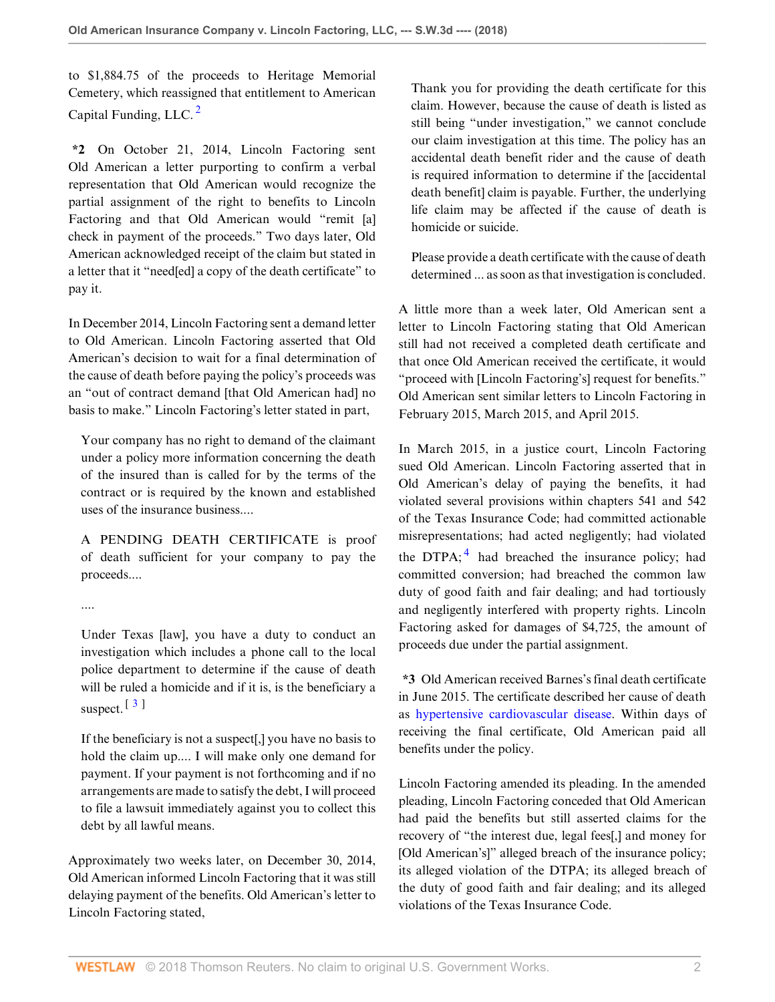<span id="page-1-0"></span>to \$1,884.75 of the proceeds to Heritage Memorial Cemetery, which reassigned that entitlement to American Capital Funding, LLC.  $^2$  $^2$ 

**\*2** On October 21, 2014, Lincoln Factoring sent Old American a letter purporting to confirm a verbal representation that Old American would recognize the partial assignment of the right to benefits to Lincoln Factoring and that Old American would "remit [a] check in payment of the proceeds." Two days later, Old American acknowledged receipt of the claim but stated in a letter that it "need[ed] a copy of the death certificate" to pay it.

In December 2014, Lincoln Factoring sent a demand letter to Old American. Lincoln Factoring asserted that Old American's decision to wait for a final determination of the cause of death before paying the policy's proceeds was an "out of contract demand [that Old American had] no basis to make." Lincoln Factoring's letter stated in part,

Your company has no right to demand of the claimant under a policy more information concerning the death of the insured than is called for by the terms of the contract or is required by the known and established uses of the insurance business....

A PENDING DEATH CERTIFICATE is proof of death sufficient for your company to pay the proceeds....

....

Under Texas [law], you have a duty to conduct an investigation which includes a phone call to the local police department to determine if the cause of death will be ruled a homicide and if it is, is the beneficiary a suspect.  $\left[\begin{array}{c}3\end{array}\right]$  $\left[\begin{array}{c}3\end{array}\right]$  $\left[\begin{array}{c}3\end{array}\right]$ 

<span id="page-1-1"></span>If the beneficiary is not a suspect[,] you have no basis to hold the claim up.... I will make only one demand for payment. If your payment is not forthcoming and if no arrangements are made to satisfy the debt, I will proceed to file a lawsuit immediately against you to collect this debt by all lawful means.

Approximately two weeks later, on December 30, 2014, Old American informed Lincoln Factoring that it was still delaying payment of the benefits. Old American's letter to Lincoln Factoring stated,

Thank you for providing the death certificate for this claim. However, because the cause of death is listed as still being "under investigation," we cannot conclude our claim investigation at this time. The policy has an accidental death benefit rider and the cause of death is required information to determine if the [accidental death benefit] claim is payable. Further, the underlying life claim may be affected if the cause of death is homicide or suicide.

Please provide a death certificate with the cause of death determined ... as soon as that investigation is concluded.

A little more than a week later, Old American sent a letter to Lincoln Factoring stating that Old American still had not received a completed death certificate and that once Old American received the certificate, it would "proceed with [Lincoln Factoring's] request for benefits." Old American sent similar letters to Lincoln Factoring in February 2015, March 2015, and April 2015.

<span id="page-1-2"></span>In March 2015, in a justice court, Lincoln Factoring sued Old American. Lincoln Factoring asserted that in Old American's delay of paying the benefits, it had violated several provisions within chapters 541 and 542 of the Texas Insurance Code; had committed actionable misrepresentations; had acted negligently; had violated the DTPA; $<sup>4</sup>$  $<sup>4</sup>$  $<sup>4</sup>$  had breached the insurance policy; had</sup> committed conversion; had breached the common law duty of good faith and fair dealing; and had tortiously and negligently interfered with property rights. Lincoln Factoring asked for damages of \$4,725, the amount of proceeds due under the partial assignment.

**\*3** Old American received Barnes's final death certificate in June 2015. The certificate described her cause of death as [hypertensive cardiovascular disease](http://www.westlaw.com/Link/Document/FullText?entityType=disease&entityId=Ica154cb6475411db9765f9243f53508a&originationContext=document&transitionType=DocumentItem&contextData=(sc.Default)&vr=3.0&rs=cblt1.0). Within days of receiving the final certificate, Old American paid all benefits under the policy.

Lincoln Factoring amended its pleading. In the amended pleading, Lincoln Factoring conceded that Old American had paid the benefits but still asserted claims for the recovery of "the interest due, legal fees[,] and money for [Old American's]" alleged breach of the insurance policy; its alleged violation of the DTPA; its alleged breach of the duty of good faith and fair dealing; and its alleged violations of the Texas Insurance Code.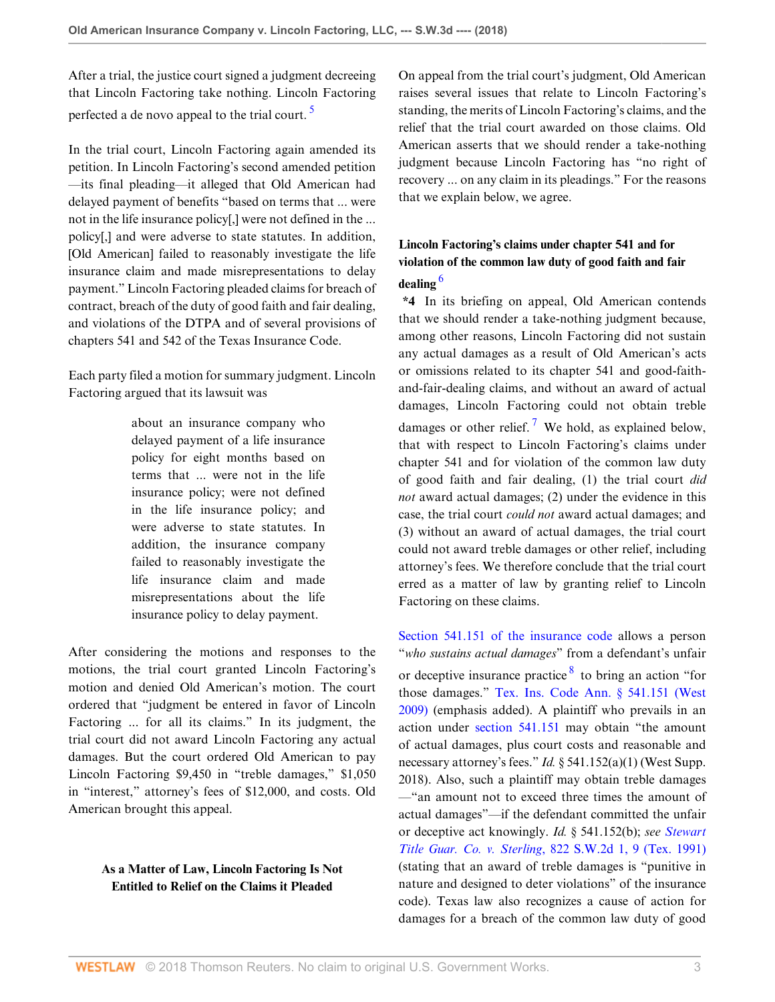After a trial, the justice court signed a judgment decreeing that Lincoln Factoring take nothing. Lincoln Factoring perfected a de novo appeal to the trial court.  $\frac{5}{2}$  $\frac{5}{2}$  $\frac{5}{2}$ 

In the trial court, Lincoln Factoring again amended its petition. In Lincoln Factoring's second amended petition —its final pleading—it alleged that Old American had delayed payment of benefits "based on terms that ... were not in the life insurance policy[,] were not defined in the ... policy[,] and were adverse to state statutes. In addition, [Old American] failed to reasonably investigate the life insurance claim and made misrepresentations to delay payment." Lincoln Factoring pleaded claims for breach of contract, breach of the duty of good faith and fair dealing, and violations of the DTPA and of several provisions of chapters 541 and 542 of the Texas Insurance Code.

Each party filed a motion for summary judgment. Lincoln Factoring argued that its lawsuit was

> about an insurance company who delayed payment of a life insurance policy for eight months based on terms that ... were not in the life insurance policy; were not defined in the life insurance policy; and were adverse to state statutes. In addition, the insurance company failed to reasonably investigate the life insurance claim and made misrepresentations about the life insurance policy to delay payment.

After considering the motions and responses to the motions, the trial court granted Lincoln Factoring's motion and denied Old American's motion. The court ordered that "judgment be entered in favor of Lincoln Factoring ... for all its claims." In its judgment, the trial court did not award Lincoln Factoring any actual damages. But the court ordered Old American to pay Lincoln Factoring \$9,450 in "treble damages," \$1,050 in "interest," attorney's fees of \$12,000, and costs. Old American brought this appeal.

# **As a Matter of Law, Lincoln Factoring Is Not Entitled to Relief on the Claims it Pleaded**

<span id="page-2-0"></span>On appeal from the trial court's judgment, Old American raises several issues that relate to Lincoln Factoring's standing, the merits of Lincoln Factoring's claims, and the relief that the trial court awarded on those claims. Old American asserts that we should render a take-nothing judgment because Lincoln Factoring has "no right of recovery ... on any claim in its pleadings." For the reasons that we explain below, we agree.

# **Lincoln Factoring's claims under chapter 541 and for violation of the common law duty of good faith and fair dealing** [6](#page-6-5)

<span id="page-2-2"></span><span id="page-2-1"></span>**\*4** In its briefing on appeal, Old American contends that we should render a take-nothing judgment because, among other reasons, Lincoln Factoring did not sustain any actual damages as a result of Old American's acts or omissions related to its chapter 541 and good-faithand-fair-dealing claims, and without an award of actual damages, Lincoln Factoring could not obtain treble damages or other relief.<sup>[7](#page-6-6)</sup> We hold, as explained below, that with respect to Lincoln Factoring's claims under chapter 541 and for violation of the common law duty of good faith and fair dealing, (1) the trial court *did not* award actual damages; (2) under the evidence in this case, the trial court *could not* award actual damages; and (3) without an award of actual damages, the trial court could not award treble damages or other relief, including attorney's fees. We therefore conclude that the trial court erred as a matter of law by granting relief to Lincoln Factoring on these claims.

<span id="page-2-3"></span>[Section 541.151 of the insurance code](http://www.westlaw.com/Link/Document/FullText?findType=L&pubNum=1000178&cite=TXINS541.151&originatingDoc=I26caae20e38611e8a1b0e6625e646f8f&refType=LQ&originationContext=document&vr=3.0&rs=cblt1.0&transitionType=DocumentItem&contextData=(sc.Default)) allows a person "*who sustains actual damages*" from a defendant's unfair or deceptive insurance practice <sup>[8](#page-6-7)</sup> to bring an action "for those damages." [Tex. Ins. Code Ann. § 541.151 \(West](http://www.westlaw.com/Link/Document/FullText?findType=L&pubNum=1000178&cite=TXINS541.151&originatingDoc=I26caae20e38611e8a1b0e6625e646f8f&refType=LQ&originationContext=document&vr=3.0&rs=cblt1.0&transitionType=DocumentItem&contextData=(sc.Default)) [2009\)](http://www.westlaw.com/Link/Document/FullText?findType=L&pubNum=1000178&cite=TXINS541.151&originatingDoc=I26caae20e38611e8a1b0e6625e646f8f&refType=LQ&originationContext=document&vr=3.0&rs=cblt1.0&transitionType=DocumentItem&contextData=(sc.Default)) (emphasis added). A plaintiff who prevails in an action under [section 541.151](http://www.westlaw.com/Link/Document/FullText?findType=L&pubNum=1000178&cite=TXINS541.151&originatingDoc=I26caae20e38611e8a1b0e6625e646f8f&refType=LQ&originationContext=document&vr=3.0&rs=cblt1.0&transitionType=DocumentItem&contextData=(sc.Default)) may obtain "the amount of actual damages, plus court costs and reasonable and necessary attorney's fees." *Id.* § 541.152(a)(1) (West Supp. 2018). Also, such a plaintiff may obtain treble damages —"an amount not to exceed three times the amount of actual damages"—if the defendant committed the unfair or deceptive act knowingly. *Id.* § 541.152(b); *see [Stewart](http://www.westlaw.com/Link/Document/FullText?findType=Y&serNum=1992018305&pubNum=0000713&originatingDoc=I26caae20e38611e8a1b0e6625e646f8f&refType=RP&fi=co_pp_sp_713_9&originationContext=document&vr=3.0&rs=cblt1.0&transitionType=DocumentItem&contextData=(sc.Default)#co_pp_sp_713_9) Title Guar. Co. v. Sterling*[, 822 S.W.2d 1, 9 \(Tex. 1991\)](http://www.westlaw.com/Link/Document/FullText?findType=Y&serNum=1992018305&pubNum=0000713&originatingDoc=I26caae20e38611e8a1b0e6625e646f8f&refType=RP&fi=co_pp_sp_713_9&originationContext=document&vr=3.0&rs=cblt1.0&transitionType=DocumentItem&contextData=(sc.Default)#co_pp_sp_713_9) (stating that an award of treble damages is "punitive in nature and designed to deter violations" of the insurance code). Texas law also recognizes a cause of action for damages for a breach of the common law duty of good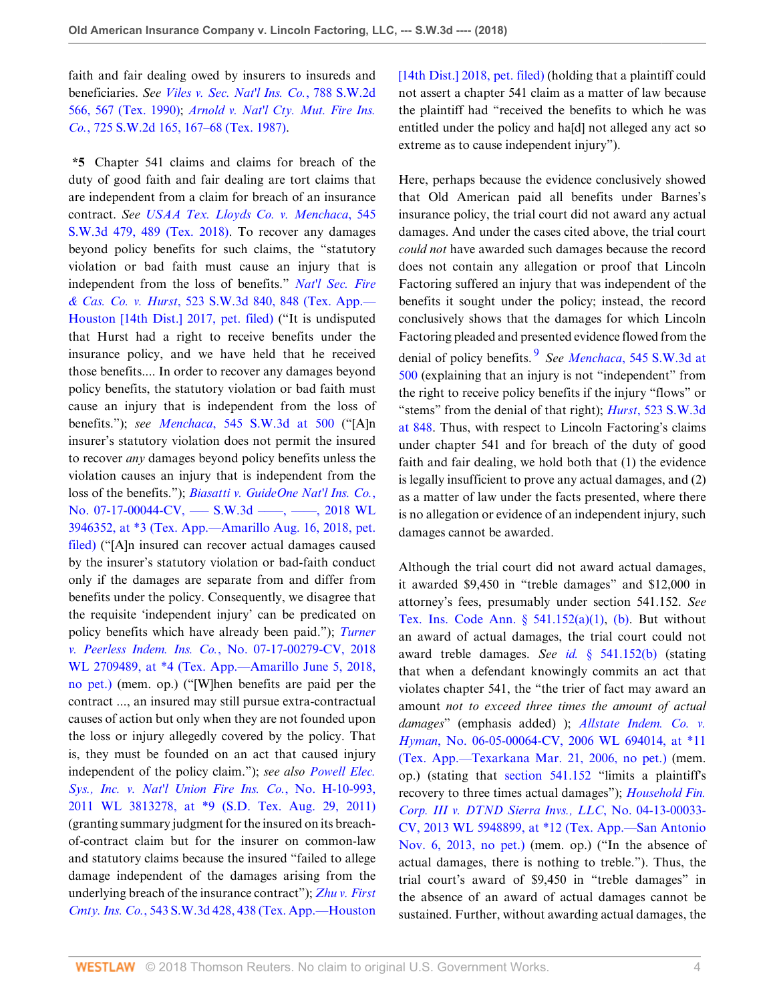faith and fair dealing owed by insurers to insureds and beneficiaries. *See [Viles v. Sec. Nat'l Ins. Co.](http://www.westlaw.com/Link/Document/FullText?findType=Y&serNum=1990065680&pubNum=0000713&originatingDoc=I26caae20e38611e8a1b0e6625e646f8f&refType=RP&fi=co_pp_sp_713_567&originationContext=document&vr=3.0&rs=cblt1.0&transitionType=DocumentItem&contextData=(sc.Default)#co_pp_sp_713_567)*, 788 S.W.2d [566, 567 \(Tex. 1990\)](http://www.westlaw.com/Link/Document/FullText?findType=Y&serNum=1990065680&pubNum=0000713&originatingDoc=I26caae20e38611e8a1b0e6625e646f8f&refType=RP&fi=co_pp_sp_713_567&originationContext=document&vr=3.0&rs=cblt1.0&transitionType=DocumentItem&contextData=(sc.Default)#co_pp_sp_713_567); *[Arnold v. Nat'l Cty. Mut. Fire Ins.](http://www.westlaw.com/Link/Document/FullText?findType=Y&serNum=1987011572&pubNum=0000713&originatingDoc=I26caae20e38611e8a1b0e6625e646f8f&refType=RP&fi=co_pp_sp_713_167&originationContext=document&vr=3.0&rs=cblt1.0&transitionType=DocumentItem&contextData=(sc.Default)#co_pp_sp_713_167) Co.*[, 725 S.W.2d 165, 167–68 \(Tex. 1987\)](http://www.westlaw.com/Link/Document/FullText?findType=Y&serNum=1987011572&pubNum=0000713&originatingDoc=I26caae20e38611e8a1b0e6625e646f8f&refType=RP&fi=co_pp_sp_713_167&originationContext=document&vr=3.0&rs=cblt1.0&transitionType=DocumentItem&contextData=(sc.Default)#co_pp_sp_713_167).

**\*5** Chapter 541 claims and claims for breach of the duty of good faith and fair dealing are tort claims that are independent from a claim for breach of an insurance contract. *See [USAA Tex. Lloyds Co. v. Menchaca](http://www.westlaw.com/Link/Document/FullText?findType=Y&serNum=2044350114&pubNum=0004644&originatingDoc=I26caae20e38611e8a1b0e6625e646f8f&refType=RP&fi=co_pp_sp_4644_489&originationContext=document&vr=3.0&rs=cblt1.0&transitionType=DocumentItem&contextData=(sc.Default)#co_pp_sp_4644_489)*, 545 [S.W.3d 479, 489 \(Tex. 2018\).](http://www.westlaw.com/Link/Document/FullText?findType=Y&serNum=2044350114&pubNum=0004644&originatingDoc=I26caae20e38611e8a1b0e6625e646f8f&refType=RP&fi=co_pp_sp_4644_489&originationContext=document&vr=3.0&rs=cblt1.0&transitionType=DocumentItem&contextData=(sc.Default)#co_pp_sp_4644_489) To recover any damages beyond policy benefits for such claims, the "statutory violation or bad faith must cause an injury that is independent from the loss of benefits." *[Nat'l Sec. Fire](http://www.westlaw.com/Link/Document/FullText?findType=Y&serNum=2041715098&pubNum=0004644&originatingDoc=I26caae20e38611e8a1b0e6625e646f8f&refType=RP&fi=co_pp_sp_4644_848&originationContext=document&vr=3.0&rs=cblt1.0&transitionType=DocumentItem&contextData=(sc.Default)#co_pp_sp_4644_848) & Cas. Co. v. Hurst*[, 523 S.W.3d 840, 848 \(Tex. App.—](http://www.westlaw.com/Link/Document/FullText?findType=Y&serNum=2041715098&pubNum=0004644&originatingDoc=I26caae20e38611e8a1b0e6625e646f8f&refType=RP&fi=co_pp_sp_4644_848&originationContext=document&vr=3.0&rs=cblt1.0&transitionType=DocumentItem&contextData=(sc.Default)#co_pp_sp_4644_848) [Houston \[14th Dist.\] 2017, pet. filed\)](http://www.westlaw.com/Link/Document/FullText?findType=Y&serNum=2041715098&pubNum=0004644&originatingDoc=I26caae20e38611e8a1b0e6625e646f8f&refType=RP&fi=co_pp_sp_4644_848&originationContext=document&vr=3.0&rs=cblt1.0&transitionType=DocumentItem&contextData=(sc.Default)#co_pp_sp_4644_848) ("It is undisputed that Hurst had a right to receive benefits under the insurance policy, and we have held that he received those benefits.... In order to recover any damages beyond policy benefits, the statutory violation or bad faith must cause an injury that is independent from the loss of benefits."); *see Menchaca*[, 545 S.W.3d at 500](http://www.westlaw.com/Link/Document/FullText?findType=Y&serNum=2044350114&pubNum=0004644&originatingDoc=I26caae20e38611e8a1b0e6625e646f8f&refType=RP&fi=co_pp_sp_4644_500&originationContext=document&vr=3.0&rs=cblt1.0&transitionType=DocumentItem&contextData=(sc.Default)#co_pp_sp_4644_500) ("[A]n insurer's statutory violation does not permit the insured to recover *any* damages beyond policy benefits unless the violation causes an injury that is independent from the loss of the benefits."); *[Biasatti v. GuideOne Nat'l Ins. Co.](http://www.westlaw.com/Link/Document/FullText?findType=Y&serNum=2045305587&pubNum=0000999&originatingDoc=I26caae20e38611e8a1b0e6625e646f8f&refType=RP&originationContext=document&vr=3.0&rs=cblt1.0&transitionType=DocumentItem&contextData=(sc.Default))*, No. 07-17-00044-CV, — S.W.3d — , — , 2018 WL [3946352, at \\*3 \(Tex. App.—Amarillo Aug. 16, 2018, pet.](http://www.westlaw.com/Link/Document/FullText?findType=Y&serNum=2045305587&pubNum=0000999&originatingDoc=I26caae20e38611e8a1b0e6625e646f8f&refType=RP&originationContext=document&vr=3.0&rs=cblt1.0&transitionType=DocumentItem&contextData=(sc.Default)) [filed\)](http://www.westlaw.com/Link/Document/FullText?findType=Y&serNum=2045305587&pubNum=0000999&originatingDoc=I26caae20e38611e8a1b0e6625e646f8f&refType=RP&originationContext=document&vr=3.0&rs=cblt1.0&transitionType=DocumentItem&contextData=(sc.Default)) ("[A]n insured can recover actual damages caused by the insurer's statutory violation or bad-faith conduct only if the damages are separate from and differ from benefits under the policy. Consequently, we disagree that the requisite 'independent injury' can be predicated on policy benefits which have already been paid."); *[Turner](http://www.westlaw.com/Link/Document/FullText?findType=Y&serNum=2044681234&pubNum=0000999&originatingDoc=I26caae20e38611e8a1b0e6625e646f8f&refType=RP&originationContext=document&vr=3.0&rs=cblt1.0&transitionType=DocumentItem&contextData=(sc.Default)) v. Peerless Indem. Ins. Co.*[, No. 07-17-00279-CV, 2018](http://www.westlaw.com/Link/Document/FullText?findType=Y&serNum=2044681234&pubNum=0000999&originatingDoc=I26caae20e38611e8a1b0e6625e646f8f&refType=RP&originationContext=document&vr=3.0&rs=cblt1.0&transitionType=DocumentItem&contextData=(sc.Default)) [WL 2709489, at \\*4 \(Tex. App.—Amarillo June 5, 2018,](http://www.westlaw.com/Link/Document/FullText?findType=Y&serNum=2044681234&pubNum=0000999&originatingDoc=I26caae20e38611e8a1b0e6625e646f8f&refType=RP&originationContext=document&vr=3.0&rs=cblt1.0&transitionType=DocumentItem&contextData=(sc.Default)) [no pet.\)](http://www.westlaw.com/Link/Document/FullText?findType=Y&serNum=2044681234&pubNum=0000999&originatingDoc=I26caae20e38611e8a1b0e6625e646f8f&refType=RP&originationContext=document&vr=3.0&rs=cblt1.0&transitionType=DocumentItem&contextData=(sc.Default)) (mem. op.) ("[W]hen benefits are paid per the contract ..., an insured may still pursue extra-contractual causes of action but only when they are not founded upon the loss or injury allegedly covered by the policy. That is, they must be founded on an act that caused injury independent of the policy claim."); *see also [Powell Elec.](http://www.westlaw.com/Link/Document/FullText?findType=Y&serNum=2025972846&pubNum=0000999&originatingDoc=I26caae20e38611e8a1b0e6625e646f8f&refType=RP&originationContext=document&vr=3.0&rs=cblt1.0&transitionType=DocumentItem&contextData=(sc.Default)) [Sys., Inc. v. Nat'l Union Fire Ins. Co.](http://www.westlaw.com/Link/Document/FullText?findType=Y&serNum=2025972846&pubNum=0000999&originatingDoc=I26caae20e38611e8a1b0e6625e646f8f&refType=RP&originationContext=document&vr=3.0&rs=cblt1.0&transitionType=DocumentItem&contextData=(sc.Default))*, No. H-10-993, [2011 WL 3813278, at \\*9 \(S.D. Tex. Aug. 29, 2011\)](http://www.westlaw.com/Link/Document/FullText?findType=Y&serNum=2025972846&pubNum=0000999&originatingDoc=I26caae20e38611e8a1b0e6625e646f8f&refType=RP&originationContext=document&vr=3.0&rs=cblt1.0&transitionType=DocumentItem&contextData=(sc.Default)) (granting summary judgment for the insured on its breachof-contract claim but for the insurer on common-law and statutory claims because the insured "failed to allege damage independent of the damages arising from the underlying breach of the insurance contract"); *[Zhu v. First](http://www.westlaw.com/Link/Document/FullText?findType=Y&serNum=2043808270&pubNum=0004644&originatingDoc=I26caae20e38611e8a1b0e6625e646f8f&refType=RP&fi=co_pp_sp_4644_438&originationContext=document&vr=3.0&rs=cblt1.0&transitionType=DocumentItem&contextData=(sc.Default)#co_pp_sp_4644_438) Cmty. Ins. Co.*[, 543 S.W.3d 428, 438 \(Tex. App.—Houston](http://www.westlaw.com/Link/Document/FullText?findType=Y&serNum=2043808270&pubNum=0004644&originatingDoc=I26caae20e38611e8a1b0e6625e646f8f&refType=RP&fi=co_pp_sp_4644_438&originationContext=document&vr=3.0&rs=cblt1.0&transitionType=DocumentItem&contextData=(sc.Default)#co_pp_sp_4644_438)

[\[14th Dist.\] 2018, pet. filed\)](http://www.westlaw.com/Link/Document/FullText?findType=Y&serNum=2043808270&pubNum=0004644&originatingDoc=I26caae20e38611e8a1b0e6625e646f8f&refType=RP&fi=co_pp_sp_4644_438&originationContext=document&vr=3.0&rs=cblt1.0&transitionType=DocumentItem&contextData=(sc.Default)#co_pp_sp_4644_438) (holding that a plaintiff could not assert a chapter 541 claim as a matter of law because the plaintiff had "received the benefits to which he was entitled under the policy and ha[d] not alleged any act so extreme as to cause independent injury").

<span id="page-3-0"></span>Here, perhaps because the evidence conclusively showed that Old American paid all benefits under Barnes's insurance policy, the trial court did not award any actual damages. And under the cases cited above, the trial court *could not* have awarded such damages because the record does not contain any allegation or proof that Lincoln Factoring suffered an injury that was independent of the benefits it sought under the policy; instead, the record conclusively shows that the damages for which Lincoln Factoring pleaded and presented evidence flowed from the denial of policy benefits. [9](#page-6-8) *See Menchaca*[, 545 S.W.3d at](http://www.westlaw.com/Link/Document/FullText?findType=Y&serNum=2044350114&pubNum=0004644&originatingDoc=I26caae20e38611e8a1b0e6625e646f8f&refType=RP&fi=co_pp_sp_4644_500&originationContext=document&vr=3.0&rs=cblt1.0&transitionType=DocumentItem&contextData=(sc.Default)#co_pp_sp_4644_500) [500](http://www.westlaw.com/Link/Document/FullText?findType=Y&serNum=2044350114&pubNum=0004644&originatingDoc=I26caae20e38611e8a1b0e6625e646f8f&refType=RP&fi=co_pp_sp_4644_500&originationContext=document&vr=3.0&rs=cblt1.0&transitionType=DocumentItem&contextData=(sc.Default)#co_pp_sp_4644_500) (explaining that an injury is not "independent" from the right to receive policy benefits if the injury "flows" or "stems" from the denial of that right); *Hurst*[, 523 S.W.3d](http://www.westlaw.com/Link/Document/FullText?findType=Y&serNum=2041715098&pubNum=0004644&originatingDoc=I26caae20e38611e8a1b0e6625e646f8f&refType=RP&fi=co_pp_sp_4644_848&originationContext=document&vr=3.0&rs=cblt1.0&transitionType=DocumentItem&contextData=(sc.Default)#co_pp_sp_4644_848) [at 848.](http://www.westlaw.com/Link/Document/FullText?findType=Y&serNum=2041715098&pubNum=0004644&originatingDoc=I26caae20e38611e8a1b0e6625e646f8f&refType=RP&fi=co_pp_sp_4644_848&originationContext=document&vr=3.0&rs=cblt1.0&transitionType=DocumentItem&contextData=(sc.Default)#co_pp_sp_4644_848) Thus, with respect to Lincoln Factoring's claims under chapter 541 and for breach of the duty of good faith and fair dealing, we hold both that (1) the evidence is legally insufficient to prove any actual damages, and (2) as a matter of law under the facts presented, where there is no allegation or evidence of an independent injury, such damages cannot be awarded.

Although the trial court did not award actual damages, it awarded \$9,450 in "treble damages" and \$12,000 in attorney's fees, presumably under section 541.152. *See* Tex. Ins. Code Ann. §  $541.152(a)(1)$ , [\(b\)](http://www.westlaw.com/Link/Document/FullText?findType=L&pubNum=1000178&cite=TXINS541.152&originatingDoc=I26caae20e38611e8a1b0e6625e646f8f&refType=SP&originationContext=document&vr=3.0&rs=cblt1.0&transitionType=DocumentItem&contextData=(sc.Default)#co_pp_a83b000018c76). But without an award of actual damages, the trial court could not award treble damages. *See id.* [§ 541.152\(b\)](http://www.westlaw.com/Link/Document/FullText?findType=L&pubNum=1000178&cite=TXINS541.152&originatingDoc=I26caae20e38611e8a1b0e6625e646f8f&refType=SP&originationContext=document&vr=3.0&rs=cblt1.0&transitionType=DocumentItem&contextData=(sc.Default)#co_pp_a83b000018c76) (stating that when a defendant knowingly commits an act that violates chapter 541, the "the trier of fact may award an amount *not to exceed three times the amount of actual damages*" (emphasis added) ); *[Allstate Indem. Co. v.](http://www.westlaw.com/Link/Document/FullText?findType=Y&serNum=2008725138&pubNum=0000999&originatingDoc=I26caae20e38611e8a1b0e6625e646f8f&refType=RP&originationContext=document&vr=3.0&rs=cblt1.0&transitionType=DocumentItem&contextData=(sc.Default)) Hyman*[, No. 06-05-00064-CV, 2006 WL 694014, at \\*11](http://www.westlaw.com/Link/Document/FullText?findType=Y&serNum=2008725138&pubNum=0000999&originatingDoc=I26caae20e38611e8a1b0e6625e646f8f&refType=RP&originationContext=document&vr=3.0&rs=cblt1.0&transitionType=DocumentItem&contextData=(sc.Default)) [\(Tex. App.—Texarkana Mar. 21, 2006, no pet.\)](http://www.westlaw.com/Link/Document/FullText?findType=Y&serNum=2008725138&pubNum=0000999&originatingDoc=I26caae20e38611e8a1b0e6625e646f8f&refType=RP&originationContext=document&vr=3.0&rs=cblt1.0&transitionType=DocumentItem&contextData=(sc.Default)) (mem. op.) (stating that [section 541.152](http://www.westlaw.com/Link/Document/FullText?findType=L&pubNum=1000178&cite=TXINS541.152&originatingDoc=I26caae20e38611e8a1b0e6625e646f8f&refType=LQ&originationContext=document&vr=3.0&rs=cblt1.0&transitionType=DocumentItem&contextData=(sc.Default)) "limits a plaintiff's recovery to three times actual damages"); *[Household Fin.](http://www.westlaw.com/Link/Document/FullText?findType=Y&serNum=2031921411&pubNum=0000999&originatingDoc=I26caae20e38611e8a1b0e6625e646f8f&refType=RP&originationContext=document&vr=3.0&rs=cblt1.0&transitionType=DocumentItem&contextData=(sc.Default)) [Corp. III v. DTND Sierra Invs., LLC](http://www.westlaw.com/Link/Document/FullText?findType=Y&serNum=2031921411&pubNum=0000999&originatingDoc=I26caae20e38611e8a1b0e6625e646f8f&refType=RP&originationContext=document&vr=3.0&rs=cblt1.0&transitionType=DocumentItem&contextData=(sc.Default))*, No. 04-13-00033- [CV, 2013 WL 5948899, at \\*12 \(Tex. App.—San Antonio](http://www.westlaw.com/Link/Document/FullText?findType=Y&serNum=2031921411&pubNum=0000999&originatingDoc=I26caae20e38611e8a1b0e6625e646f8f&refType=RP&originationContext=document&vr=3.0&rs=cblt1.0&transitionType=DocumentItem&contextData=(sc.Default)) [Nov. 6, 2013, no pet.\)](http://www.westlaw.com/Link/Document/FullText?findType=Y&serNum=2031921411&pubNum=0000999&originatingDoc=I26caae20e38611e8a1b0e6625e646f8f&refType=RP&originationContext=document&vr=3.0&rs=cblt1.0&transitionType=DocumentItem&contextData=(sc.Default)) (mem. op.) ("In the absence of actual damages, there is nothing to treble."). Thus, the trial court's award of \$9,450 in "treble damages" in the absence of an award of actual damages cannot be sustained. Further, without awarding actual damages, the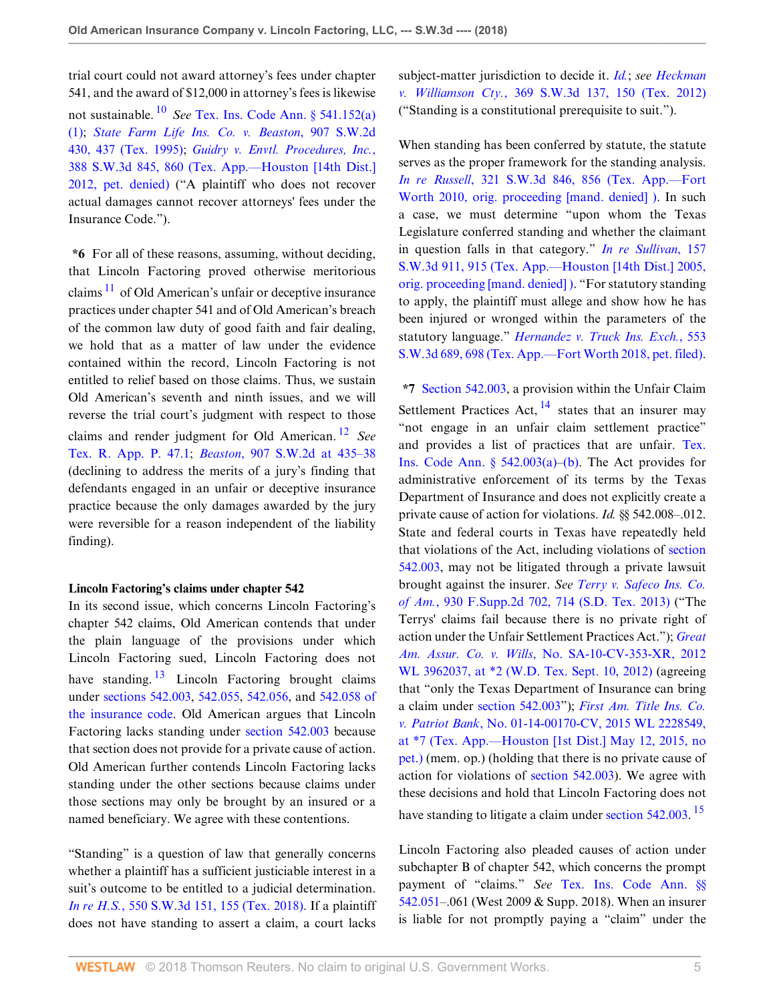<span id="page-4-0"></span>trial court could not award attorney's fees under chapter 541, and the award of \$12,000 in attorney's fees is likewise not sustainable. [10](#page-6-9) *See* [Tex. Ins. Code Ann. § 541.152\(a\)](http://www.westlaw.com/Link/Document/FullText?findType=L&pubNum=1000178&cite=TXINS541.152&originatingDoc=I26caae20e38611e8a1b0e6625e646f8f&refType=SP&originationContext=document&vr=3.0&rs=cblt1.0&transitionType=DocumentItem&contextData=(sc.Default)#co_pp_7b9b000044381) [\(1\);](http://www.westlaw.com/Link/Document/FullText?findType=L&pubNum=1000178&cite=TXINS541.152&originatingDoc=I26caae20e38611e8a1b0e6625e646f8f&refType=SP&originationContext=document&vr=3.0&rs=cblt1.0&transitionType=DocumentItem&contextData=(sc.Default)#co_pp_7b9b000044381) *[State Farm Life Ins. Co. v. Beaston](http://www.westlaw.com/Link/Document/FullText?findType=Y&serNum=1995139082&pubNum=0000713&originatingDoc=I26caae20e38611e8a1b0e6625e646f8f&refType=RP&fi=co_pp_sp_713_437&originationContext=document&vr=3.0&rs=cblt1.0&transitionType=DocumentItem&contextData=(sc.Default)#co_pp_sp_713_437)*, 907 S.W.2d [430, 437 \(Tex. 1995\);](http://www.westlaw.com/Link/Document/FullText?findType=Y&serNum=1995139082&pubNum=0000713&originatingDoc=I26caae20e38611e8a1b0e6625e646f8f&refType=RP&fi=co_pp_sp_713_437&originationContext=document&vr=3.0&rs=cblt1.0&transitionType=DocumentItem&contextData=(sc.Default)#co_pp_sp_713_437) *[Guidry v. Envtl. Procedures, Inc.](http://www.westlaw.com/Link/Document/FullText?findType=Y&serNum=2028610227&pubNum=0004644&originatingDoc=I26caae20e38611e8a1b0e6625e646f8f&refType=RP&fi=co_pp_sp_4644_860&originationContext=document&vr=3.0&rs=cblt1.0&transitionType=DocumentItem&contextData=(sc.Default)#co_pp_sp_4644_860)*, [388 S.W.3d 845, 860 \(Tex. App.—Houston \[14th Dist.\]](http://www.westlaw.com/Link/Document/FullText?findType=Y&serNum=2028610227&pubNum=0004644&originatingDoc=I26caae20e38611e8a1b0e6625e646f8f&refType=RP&fi=co_pp_sp_4644_860&originationContext=document&vr=3.0&rs=cblt1.0&transitionType=DocumentItem&contextData=(sc.Default)#co_pp_sp_4644_860)

[2012, pet. denied\)](http://www.westlaw.com/Link/Document/FullText?findType=Y&serNum=2028610227&pubNum=0004644&originatingDoc=I26caae20e38611e8a1b0e6625e646f8f&refType=RP&fi=co_pp_sp_4644_860&originationContext=document&vr=3.0&rs=cblt1.0&transitionType=DocumentItem&contextData=(sc.Default)#co_pp_sp_4644_860) ("A plaintiff who does not recover actual damages cannot recover attorneys' fees under the Insurance Code.").

<span id="page-4-1"></span>**\*6** For all of these reasons, assuming, without deciding, that Lincoln Factoring proved otherwise meritorious claims  $11$  of Old American's unfair or deceptive insurance practices under chapter 541 and of Old American's breach of the common law duty of good faith and fair dealing, we hold that as a matter of law under the evidence contained within the record, Lincoln Factoring is not entitled to relief based on those claims. Thus, we sustain Old American's seventh and ninth issues, and we will reverse the trial court's judgment with respect to those claims and render judgment for Old American. [12](#page-7-1) *See* [Tex. R. App. P. 47.1](http://www.westlaw.com/Link/Document/FullText?findType=L&pubNum=1005293&cite=TXRRAPR47.1&originatingDoc=I26caae20e38611e8a1b0e6625e646f8f&refType=LQ&originationContext=document&vr=3.0&rs=cblt1.0&transitionType=DocumentItem&contextData=(sc.Default)); *Beaston*[, 907 S.W.2d at 435–38](http://www.westlaw.com/Link/Document/FullText?findType=Y&serNum=1995139082&pubNum=0000713&originatingDoc=I26caae20e38611e8a1b0e6625e646f8f&refType=RP&fi=co_pp_sp_713_435&originationContext=document&vr=3.0&rs=cblt1.0&transitionType=DocumentItem&contextData=(sc.Default)#co_pp_sp_713_435) (declining to address the merits of a jury's finding that defendants engaged in an unfair or deceptive insurance practice because the only damages awarded by the jury were reversible for a reason independent of the liability finding).

#### **Lincoln Factoring's claims under chapter 542**

<span id="page-4-3"></span>In its second issue, which concerns Lincoln Factoring's chapter 542 claims, Old American contends that under the plain language of the provisions under which Lincoln Factoring sued, Lincoln Factoring does not have standing.  $\frac{13}{2}$  $\frac{13}{2}$  $\frac{13}{2}$  Lincoln Factoring brought claims under [sections 542.003,](http://www.westlaw.com/Link/Document/FullText?findType=L&pubNum=1000178&cite=TXINS542.003&originatingDoc=I26caae20e38611e8a1b0e6625e646f8f&refType=LQ&originationContext=document&vr=3.0&rs=cblt1.0&transitionType=DocumentItem&contextData=(sc.Default)) [542.055](http://www.westlaw.com/Link/Document/FullText?findType=L&pubNum=1000178&cite=TXINS542.055&originatingDoc=I26caae20e38611e8a1b0e6625e646f8f&refType=LQ&originationContext=document&vr=3.0&rs=cblt1.0&transitionType=DocumentItem&contextData=(sc.Default)), [542.056,](http://www.westlaw.com/Link/Document/FullText?findType=L&pubNum=1000178&cite=TXINS542.056&originatingDoc=I26caae20e38611e8a1b0e6625e646f8f&refType=LQ&originationContext=document&vr=3.0&rs=cblt1.0&transitionType=DocumentItem&contextData=(sc.Default)) and [542.058 of](http://www.westlaw.com/Link/Document/FullText?findType=L&pubNum=1000178&cite=TXINS542.058&originatingDoc=I26caae20e38611e8a1b0e6625e646f8f&refType=LQ&originationContext=document&vr=3.0&rs=cblt1.0&transitionType=DocumentItem&contextData=(sc.Default)) [the insurance code.](http://www.westlaw.com/Link/Document/FullText?findType=L&pubNum=1000178&cite=TXINS542.058&originatingDoc=I26caae20e38611e8a1b0e6625e646f8f&refType=LQ&originationContext=document&vr=3.0&rs=cblt1.0&transitionType=DocumentItem&contextData=(sc.Default)) Old American argues that Lincoln Factoring lacks standing under [section 542.003](http://www.westlaw.com/Link/Document/FullText?findType=L&pubNum=1000178&cite=TXINS542.003&originatingDoc=I26caae20e38611e8a1b0e6625e646f8f&refType=LQ&originationContext=document&vr=3.0&rs=cblt1.0&transitionType=DocumentItem&contextData=(sc.Default)) because that section does not provide for a private cause of action. Old American further contends Lincoln Factoring lacks standing under the other sections because claims under those sections may only be brought by an insured or a named beneficiary. We agree with these contentions.

"Standing" is a question of law that generally concerns whether a plaintiff has a sufficient justiciable interest in a suit's outcome to be entitled to a judicial determination. *In re H.S.*[, 550 S.W.3d 151, 155 \(Tex. 2018\).](http://www.westlaw.com/Link/Document/FullText?findType=Y&serNum=2044751255&pubNum=0004644&originatingDoc=I26caae20e38611e8a1b0e6625e646f8f&refType=RP&fi=co_pp_sp_4644_155&originationContext=document&vr=3.0&rs=cblt1.0&transitionType=DocumentItem&contextData=(sc.Default)#co_pp_sp_4644_155) If a plaintiff does not have standing to assert a claim, a court lacks subject-matter jurisdiction to decide it. *[Id.](http://www.westlaw.com/Link/Document/FullText?findType=Y&serNum=2044751255&pubNum=0004644&originatingDoc=I26caae20e38611e8a1b0e6625e646f8f&refType=RP&originationContext=document&vr=3.0&rs=cblt1.0&transitionType=DocumentItem&contextData=(sc.Default))*; *see [Heckman](http://www.westlaw.com/Link/Document/FullText?findType=Y&serNum=2027861984&pubNum=0004644&originatingDoc=I26caae20e38611e8a1b0e6625e646f8f&refType=RP&fi=co_pp_sp_4644_150&originationContext=document&vr=3.0&rs=cblt1.0&transitionType=DocumentItem&contextData=(sc.Default)#co_pp_sp_4644_150) v. Williamson Cty.*[, 369 S.W.3d 137, 150 \(Tex. 2012\)](http://www.westlaw.com/Link/Document/FullText?findType=Y&serNum=2027861984&pubNum=0004644&originatingDoc=I26caae20e38611e8a1b0e6625e646f8f&refType=RP&fi=co_pp_sp_4644_150&originationContext=document&vr=3.0&rs=cblt1.0&transitionType=DocumentItem&contextData=(sc.Default)#co_pp_sp_4644_150) ("Standing is a constitutional prerequisite to suit.").

When standing has been conferred by statute, the statute serves as the proper framework for the standing analysis. *In re Russell*[, 321 S.W.3d 846, 856 \(Tex. App.—Fort](http://www.westlaw.com/Link/Document/FullText?findType=Y&serNum=2022873298&pubNum=0004644&originatingDoc=I26caae20e38611e8a1b0e6625e646f8f&refType=RP&fi=co_pp_sp_4644_856&originationContext=document&vr=3.0&rs=cblt1.0&transitionType=DocumentItem&contextData=(sc.Default)#co_pp_sp_4644_856) [Worth 2010, orig. proceeding \[mand. denied\] \)](http://www.westlaw.com/Link/Document/FullText?findType=Y&serNum=2022873298&pubNum=0004644&originatingDoc=I26caae20e38611e8a1b0e6625e646f8f&refType=RP&fi=co_pp_sp_4644_856&originationContext=document&vr=3.0&rs=cblt1.0&transitionType=DocumentItem&contextData=(sc.Default)#co_pp_sp_4644_856). In such a case, we must determine "upon whom the Texas Legislature conferred standing and whether the claimant in question falls in that category." *[In re Sullivan](http://www.westlaw.com/Link/Document/FullText?findType=Y&serNum=2006267605&pubNum=0004644&originatingDoc=I26caae20e38611e8a1b0e6625e646f8f&refType=RP&fi=co_pp_sp_4644_915&originationContext=document&vr=3.0&rs=cblt1.0&transitionType=DocumentItem&contextData=(sc.Default)#co_pp_sp_4644_915)*, 157 [S.W.3d 911, 915 \(Tex. App.—Houston \[14th Dist.\] 2005,](http://www.westlaw.com/Link/Document/FullText?findType=Y&serNum=2006267605&pubNum=0004644&originatingDoc=I26caae20e38611e8a1b0e6625e646f8f&refType=RP&fi=co_pp_sp_4644_915&originationContext=document&vr=3.0&rs=cblt1.0&transitionType=DocumentItem&contextData=(sc.Default)#co_pp_sp_4644_915) [orig. proceeding \[mand. denied\] \)](http://www.westlaw.com/Link/Document/FullText?findType=Y&serNum=2006267605&pubNum=0004644&originatingDoc=I26caae20e38611e8a1b0e6625e646f8f&refType=RP&fi=co_pp_sp_4644_915&originationContext=document&vr=3.0&rs=cblt1.0&transitionType=DocumentItem&contextData=(sc.Default)#co_pp_sp_4644_915). "For statutory standing to apply, the plaintiff must allege and show how he has been injured or wronged within the parameters of the statutory language." *[Hernandez v. Truck Ins. Exch.](http://www.westlaw.com/Link/Document/FullText?findType=Y&serNum=2044776286&pubNum=0004644&originatingDoc=I26caae20e38611e8a1b0e6625e646f8f&refType=RP&fi=co_pp_sp_4644_698&originationContext=document&vr=3.0&rs=cblt1.0&transitionType=DocumentItem&contextData=(sc.Default)#co_pp_sp_4644_698)*, 553 [S.W.3d 689, 698 \(Tex. App.—Fort Worth 2018, pet. filed\)](http://www.westlaw.com/Link/Document/FullText?findType=Y&serNum=2044776286&pubNum=0004644&originatingDoc=I26caae20e38611e8a1b0e6625e646f8f&refType=RP&fi=co_pp_sp_4644_698&originationContext=document&vr=3.0&rs=cblt1.0&transitionType=DocumentItem&contextData=(sc.Default)#co_pp_sp_4644_698).

<span id="page-4-4"></span><span id="page-4-2"></span>**\*7** [Section 542.003](http://www.westlaw.com/Link/Document/FullText?findType=L&pubNum=1000178&cite=TXINS542.003&originatingDoc=I26caae20e38611e8a1b0e6625e646f8f&refType=LQ&originationContext=document&vr=3.0&rs=cblt1.0&transitionType=DocumentItem&contextData=(sc.Default)), a provision within the Unfair Claim Settlement Practices Act,  $^{14}$  $^{14}$  $^{14}$  states that an insurer may "not engage in an unfair claim settlement practice" and provides a list of practices that are unfair. [Tex.](http://www.westlaw.com/Link/Document/FullText?findType=L&pubNum=1000178&cite=TXINS542.003&originatingDoc=I26caae20e38611e8a1b0e6625e646f8f&refType=SP&originationContext=document&vr=3.0&rs=cblt1.0&transitionType=DocumentItem&contextData=(sc.Default)#co_pp_8b3b0000958a4) Ins. Code Ann.  $\S$  542.003(a)[–\(b\)](http://www.westlaw.com/Link/Document/FullText?findType=L&pubNum=1000178&cite=TXINS542.003&originatingDoc=I26caae20e38611e8a1b0e6625e646f8f&refType=SP&originationContext=document&vr=3.0&rs=cblt1.0&transitionType=DocumentItem&contextData=(sc.Default)#co_pp_a83b000018c76). The Act provides for administrative enforcement of its terms by the Texas Department of Insurance and does not explicitly create a private cause of action for violations. *Id.* §§ 542.008–.012. State and federal courts in Texas have repeatedly held that violations of the Act, including violations of [section](http://www.westlaw.com/Link/Document/FullText?findType=L&pubNum=1000178&cite=TXINS542.003&originatingDoc=I26caae20e38611e8a1b0e6625e646f8f&refType=LQ&originationContext=document&vr=3.0&rs=cblt1.0&transitionType=DocumentItem&contextData=(sc.Default)) [542.003,](http://www.westlaw.com/Link/Document/FullText?findType=L&pubNum=1000178&cite=TXINS542.003&originatingDoc=I26caae20e38611e8a1b0e6625e646f8f&refType=LQ&originationContext=document&vr=3.0&rs=cblt1.0&transitionType=DocumentItem&contextData=(sc.Default)) may not be litigated through a private lawsuit brought against the insurer. *See [Terry v. Safeco Ins. Co.](http://www.westlaw.com/Link/Document/FullText?findType=Y&serNum=2030085455&pubNum=0004637&originatingDoc=I26caae20e38611e8a1b0e6625e646f8f&refType=RP&fi=co_pp_sp_4637_714&originationContext=document&vr=3.0&rs=cblt1.0&transitionType=DocumentItem&contextData=(sc.Default)#co_pp_sp_4637_714) of Am.*[, 930 F.Supp.2d 702, 714 \(S.D. Tex. 2013\)](http://www.westlaw.com/Link/Document/FullText?findType=Y&serNum=2030085455&pubNum=0004637&originatingDoc=I26caae20e38611e8a1b0e6625e646f8f&refType=RP&fi=co_pp_sp_4637_714&originationContext=document&vr=3.0&rs=cblt1.0&transitionType=DocumentItem&contextData=(sc.Default)#co_pp_sp_4637_714) ("The Terrys' claims fail because there is no private right of action under the Unfair Settlement Practices Act."); *[Great](http://www.westlaw.com/Link/Document/FullText?findType=Y&serNum=2028590600&pubNum=0000999&originatingDoc=I26caae20e38611e8a1b0e6625e646f8f&refType=RP&originationContext=document&vr=3.0&rs=cblt1.0&transitionType=DocumentItem&contextData=(sc.Default)) Am. Assur. Co. v. Wills*[, No. SA-10-CV-353-XR, 2012](http://www.westlaw.com/Link/Document/FullText?findType=Y&serNum=2028590600&pubNum=0000999&originatingDoc=I26caae20e38611e8a1b0e6625e646f8f&refType=RP&originationContext=document&vr=3.0&rs=cblt1.0&transitionType=DocumentItem&contextData=(sc.Default)) [WL 3962037, at \\*2 \(W.D. Tex. Sept. 10, 2012\)](http://www.westlaw.com/Link/Document/FullText?findType=Y&serNum=2028590600&pubNum=0000999&originatingDoc=I26caae20e38611e8a1b0e6625e646f8f&refType=RP&originationContext=document&vr=3.0&rs=cblt1.0&transitionType=DocumentItem&contextData=(sc.Default)) (agreeing that "only the Texas Department of Insurance can bring a claim under [section 542.003](http://www.westlaw.com/Link/Document/FullText?findType=L&pubNum=1000178&cite=TXINS542.003&originatingDoc=I26caae20e38611e8a1b0e6625e646f8f&refType=LQ&originationContext=document&vr=3.0&rs=cblt1.0&transitionType=DocumentItem&contextData=(sc.Default))"); *[First Am. Title Ins. Co.](http://www.westlaw.com/Link/Document/FullText?findType=Y&serNum=2036266580&pubNum=0000999&originatingDoc=I26caae20e38611e8a1b0e6625e646f8f&refType=RP&originationContext=document&vr=3.0&rs=cblt1.0&transitionType=DocumentItem&contextData=(sc.Default)) v. Patriot Bank*[, No. 01-14-00170-CV, 2015 WL 2228549,](http://www.westlaw.com/Link/Document/FullText?findType=Y&serNum=2036266580&pubNum=0000999&originatingDoc=I26caae20e38611e8a1b0e6625e646f8f&refType=RP&originationContext=document&vr=3.0&rs=cblt1.0&transitionType=DocumentItem&contextData=(sc.Default)) [at \\*7 \(Tex. App.—Houston \[1st Dist.\] May 12, 2015, no](http://www.westlaw.com/Link/Document/FullText?findType=Y&serNum=2036266580&pubNum=0000999&originatingDoc=I26caae20e38611e8a1b0e6625e646f8f&refType=RP&originationContext=document&vr=3.0&rs=cblt1.0&transitionType=DocumentItem&contextData=(sc.Default)) [pet.\)](http://www.westlaw.com/Link/Document/FullText?findType=Y&serNum=2036266580&pubNum=0000999&originatingDoc=I26caae20e38611e8a1b0e6625e646f8f&refType=RP&originationContext=document&vr=3.0&rs=cblt1.0&transitionType=DocumentItem&contextData=(sc.Default)) (mem. op.) (holding that there is no private cause of action for violations of [section 542.003](http://www.westlaw.com/Link/Document/FullText?findType=L&pubNum=1000178&cite=TXINS542.003&originatingDoc=I26caae20e38611e8a1b0e6625e646f8f&refType=LQ&originationContext=document&vr=3.0&rs=cblt1.0&transitionType=DocumentItem&contextData=(sc.Default))). We agree with these decisions and hold that Lincoln Factoring does not have standing to litigate a claim under [section 542.003.](http://www.westlaw.com/Link/Document/FullText?findType=L&pubNum=1000178&cite=TXINS542.003&originatingDoc=I26caae20e38611e8a1b0e6625e646f8f&refType=LQ&originationContext=document&vr=3.0&rs=cblt1.0&transitionType=DocumentItem&contextData=(sc.Default))<sup>[15](#page-7-4)</sup>

<span id="page-4-5"></span>Lincoln Factoring also pleaded causes of action under subchapter B of chapter 542, which concerns the prompt payment of "claims." *See* [Tex. Ins. Code Ann. §§](http://www.westlaw.com/Link/Document/FullText?findType=L&pubNum=1000178&cite=TXINS542.051&originatingDoc=I26caae20e38611e8a1b0e6625e646f8f&refType=LQ&originationContext=document&vr=3.0&rs=cblt1.0&transitionType=DocumentItem&contextData=(sc.Default)) [542.051–](http://www.westlaw.com/Link/Document/FullText?findType=L&pubNum=1000178&cite=TXINS542.051&originatingDoc=I26caae20e38611e8a1b0e6625e646f8f&refType=LQ&originationContext=document&vr=3.0&rs=cblt1.0&transitionType=DocumentItem&contextData=(sc.Default)).061 (West 2009 & Supp. 2018). When an insurer is liable for not promptly paying a "claim" under the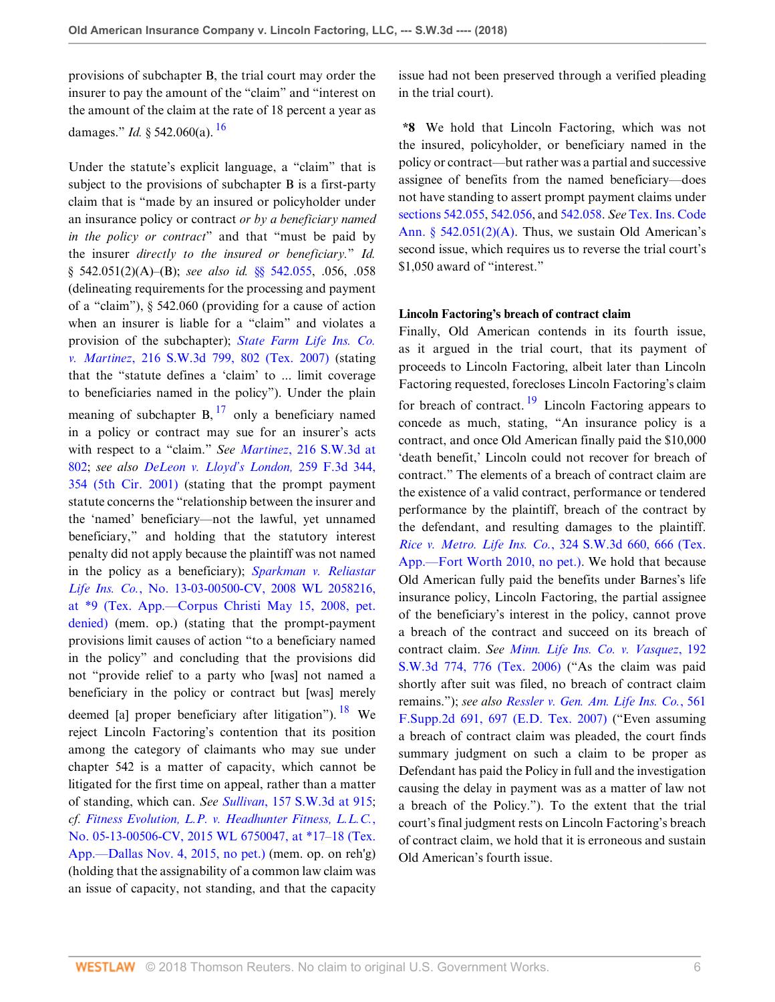provisions of subchapter B, the trial court may order the insurer to pay the amount of the "claim" and "interest on the amount of the claim at the rate of 18 percent a year as damages." *Id.* § 542.060(a). [16](#page-7-5)

<span id="page-5-0"></span>Under the statute's explicit language, a "claim" that is subject to the provisions of subchapter B is a first-party claim that is "made by an insured or policyholder under an insurance policy or contract *or by a beneficiary named in the policy or contract*" and that "must be paid by the insurer *directly to the insured or beneficiary.*" *Id.* § 542.051(2)(A)–(B); *see also id.* [§§ 542.055,](http://www.westlaw.com/Link/Document/FullText?findType=L&pubNum=1000178&cite=TXINS542.055&originatingDoc=I26caae20e38611e8a1b0e6625e646f8f&refType=LQ&originationContext=document&vr=3.0&rs=cblt1.0&transitionType=DocumentItem&contextData=(sc.Default)) .056, .058 (delineating requirements for the processing and payment of a "claim"), § 542.060 (providing for a cause of action when an insurer is liable for a "claim" and violates a provision of the subchapter); *[State Farm Life Ins. Co.](http://www.westlaw.com/Link/Document/FullText?findType=Y&serNum=2011431371&pubNum=0004644&originatingDoc=I26caae20e38611e8a1b0e6625e646f8f&refType=RP&fi=co_pp_sp_4644_802&originationContext=document&vr=3.0&rs=cblt1.0&transitionType=DocumentItem&contextData=(sc.Default)#co_pp_sp_4644_802) v. Martinez*[, 216 S.W.3d 799, 802 \(Tex. 2007\)](http://www.westlaw.com/Link/Document/FullText?findType=Y&serNum=2011431371&pubNum=0004644&originatingDoc=I26caae20e38611e8a1b0e6625e646f8f&refType=RP&fi=co_pp_sp_4644_802&originationContext=document&vr=3.0&rs=cblt1.0&transitionType=DocumentItem&contextData=(sc.Default)#co_pp_sp_4644_802) (stating that the "statute defines a 'claim' to ... limit coverage to beneficiaries named in the policy"). Under the plain meaning of subchapter  $B$ ,  $^{17}$  $^{17}$  $^{17}$  only a beneficiary named in a policy or contract may sue for an insurer's acts with respect to a "claim." *See Martinez*[, 216 S.W.3d at](http://www.westlaw.com/Link/Document/FullText?findType=Y&serNum=2011431371&pubNum=0004644&originatingDoc=I26caae20e38611e8a1b0e6625e646f8f&refType=RP&fi=co_pp_sp_4644_802&originationContext=document&vr=3.0&rs=cblt1.0&transitionType=DocumentItem&contextData=(sc.Default)#co_pp_sp_4644_802) [802](http://www.westlaw.com/Link/Document/FullText?findType=Y&serNum=2011431371&pubNum=0004644&originatingDoc=I26caae20e38611e8a1b0e6625e646f8f&refType=RP&fi=co_pp_sp_4644_802&originationContext=document&vr=3.0&rs=cblt1.0&transitionType=DocumentItem&contextData=(sc.Default)#co_pp_sp_4644_802); *see also [DeLeon v. Lloyd's London,](http://www.westlaw.com/Link/Document/FullText?findType=Y&serNum=2001616184&pubNum=0000506&originatingDoc=I26caae20e38611e8a1b0e6625e646f8f&refType=RP&fi=co_pp_sp_506_354&originationContext=document&vr=3.0&rs=cblt1.0&transitionType=DocumentItem&contextData=(sc.Default)#co_pp_sp_506_354)* 259 F.3d 344, [354 \(5th Cir. 2001\)](http://www.westlaw.com/Link/Document/FullText?findType=Y&serNum=2001616184&pubNum=0000506&originatingDoc=I26caae20e38611e8a1b0e6625e646f8f&refType=RP&fi=co_pp_sp_506_354&originationContext=document&vr=3.0&rs=cblt1.0&transitionType=DocumentItem&contextData=(sc.Default)#co_pp_sp_506_354) (stating that the prompt payment statute concerns the "relationship between the insurer and the 'named' beneficiary—not the lawful, yet unnamed beneficiary," and holding that the statutory interest penalty did not apply because the plaintiff was not named in the policy as a beneficiary); *[Sparkman v. Reliastar](http://www.westlaw.com/Link/Document/FullText?findType=Y&serNum=2016106820&pubNum=0000999&originatingDoc=I26caae20e38611e8a1b0e6625e646f8f&refType=RP&originationContext=document&vr=3.0&rs=cblt1.0&transitionType=DocumentItem&contextData=(sc.Default)) Life Ins. Co.*[, No. 13-03-00500-CV, 2008 WL 2058216,](http://www.westlaw.com/Link/Document/FullText?findType=Y&serNum=2016106820&pubNum=0000999&originatingDoc=I26caae20e38611e8a1b0e6625e646f8f&refType=RP&originationContext=document&vr=3.0&rs=cblt1.0&transitionType=DocumentItem&contextData=(sc.Default)) [at \\*9 \(Tex. App.—Corpus Christi May 15, 2008, pet.](http://www.westlaw.com/Link/Document/FullText?findType=Y&serNum=2016106820&pubNum=0000999&originatingDoc=I26caae20e38611e8a1b0e6625e646f8f&refType=RP&originationContext=document&vr=3.0&rs=cblt1.0&transitionType=DocumentItem&contextData=(sc.Default)) [denied\)](http://www.westlaw.com/Link/Document/FullText?findType=Y&serNum=2016106820&pubNum=0000999&originatingDoc=I26caae20e38611e8a1b0e6625e646f8f&refType=RP&originationContext=document&vr=3.0&rs=cblt1.0&transitionType=DocumentItem&contextData=(sc.Default)) (mem. op.) (stating that the prompt-payment provisions limit causes of action "to a beneficiary named in the policy" and concluding that the provisions did not "provide relief to a party who [was] not named a beneficiary in the policy or contract but [was] merely deemed [a] proper beneficiary after litigation"). <sup>[18](#page-7-7)</sup> We reject Lincoln Factoring's contention that its position among the category of claimants who may sue under chapter 542 is a matter of capacity, which cannot be litigated for the first time on appeal, rather than a matter of standing, which can. *See Sullivan*[, 157 S.W.3d at 915](http://www.westlaw.com/Link/Document/FullText?findType=Y&serNum=2006267605&pubNum=0004644&originatingDoc=I26caae20e38611e8a1b0e6625e646f8f&refType=RP&fi=co_pp_sp_4644_915&originationContext=document&vr=3.0&rs=cblt1.0&transitionType=DocumentItem&contextData=(sc.Default)#co_pp_sp_4644_915); *cf. [Fitness Evolution, L.P. v. Headhunter Fitness, L.L.C.](http://www.westlaw.com/Link/Document/FullText?findType=Y&serNum=2037535839&pubNum=0000999&originatingDoc=I26caae20e38611e8a1b0e6625e646f8f&refType=RP&originationContext=document&vr=3.0&rs=cblt1.0&transitionType=DocumentItem&contextData=(sc.Default))*, [No. 05-13-00506-CV, 2015 WL 6750047, at \\*17–18 \(Tex.](http://www.westlaw.com/Link/Document/FullText?findType=Y&serNum=2037535839&pubNum=0000999&originatingDoc=I26caae20e38611e8a1b0e6625e646f8f&refType=RP&originationContext=document&vr=3.0&rs=cblt1.0&transitionType=DocumentItem&contextData=(sc.Default)) [App.—Dallas Nov. 4, 2015, no pet.\)](http://www.westlaw.com/Link/Document/FullText?findType=Y&serNum=2037535839&pubNum=0000999&originatingDoc=I26caae20e38611e8a1b0e6625e646f8f&refType=RP&originationContext=document&vr=3.0&rs=cblt1.0&transitionType=DocumentItem&contextData=(sc.Default)) (mem. op. on reh'g) (holding that the assignability of a common law claim was an issue of capacity, not standing, and that the capacity issue had not been preserved through a verified pleading in the trial court).

**\*8** We hold that Lincoln Factoring, which was not the insured, policyholder, or beneficiary named in the policy or contract—but rather was a partial and successive assignee of benefits from the named beneficiary—does not have standing to assert prompt payment claims under [sections 542.055](http://www.westlaw.com/Link/Document/FullText?findType=L&pubNum=1000178&cite=TXINS542.055&originatingDoc=I26caae20e38611e8a1b0e6625e646f8f&refType=LQ&originationContext=document&vr=3.0&rs=cblt1.0&transitionType=DocumentItem&contextData=(sc.Default)), [542.056](http://www.westlaw.com/Link/Document/FullText?findType=L&pubNum=1000178&cite=TXINS542.056&originatingDoc=I26caae20e38611e8a1b0e6625e646f8f&refType=LQ&originationContext=document&vr=3.0&rs=cblt1.0&transitionType=DocumentItem&contextData=(sc.Default)), and [542.058.](http://www.westlaw.com/Link/Document/FullText?findType=L&pubNum=1000178&cite=TXINS542.058&originatingDoc=I26caae20e38611e8a1b0e6625e646f8f&refType=LQ&originationContext=document&vr=3.0&rs=cblt1.0&transitionType=DocumentItem&contextData=(sc.Default)) *See* [Tex. Ins. Code](http://www.westlaw.com/Link/Document/FullText?findType=L&pubNum=1000178&cite=TXINS542.051&originatingDoc=I26caae20e38611e8a1b0e6625e646f8f&refType=SP&originationContext=document&vr=3.0&rs=cblt1.0&transitionType=DocumentItem&contextData=(sc.Default)#co_pp_64eb0000ab9e4) [Ann. § 542.051\(2\)\(A\).](http://www.westlaw.com/Link/Document/FullText?findType=L&pubNum=1000178&cite=TXINS542.051&originatingDoc=I26caae20e38611e8a1b0e6625e646f8f&refType=SP&originationContext=document&vr=3.0&rs=cblt1.0&transitionType=DocumentItem&contextData=(sc.Default)#co_pp_64eb0000ab9e4) Thus, we sustain Old American's second issue, which requires us to reverse the trial court's \$1,050 award of "interest."

### **Lincoln Factoring's breach of contract claim**

<span id="page-5-3"></span><span id="page-5-2"></span><span id="page-5-1"></span>Finally, Old American contends in its fourth issue, as it argued in the trial court, that its payment of proceeds to Lincoln Factoring, albeit later than Lincoln Factoring requested, forecloses Lincoln Factoring's claim for breach of contract.  $\frac{19}{2}$  $\frac{19}{2}$  $\frac{19}{2}$  Lincoln Factoring appears to concede as much, stating, "An insurance policy is a contract, and once Old American finally paid the \$10,000 'death benefit,' Lincoln could not recover for breach of contract." The elements of a breach of contract claim are the existence of a valid contract, performance or tendered performance by the plaintiff, breach of the contract by the defendant, and resulting damages to the plaintiff. *Rice v. Metro. Life Ins. Co.*[, 324 S.W.3d 660, 666 \(Tex.](http://www.westlaw.com/Link/Document/FullText?findType=Y&serNum=2022905719&pubNum=0004644&originatingDoc=I26caae20e38611e8a1b0e6625e646f8f&refType=RP&fi=co_pp_sp_4644_666&originationContext=document&vr=3.0&rs=cblt1.0&transitionType=DocumentItem&contextData=(sc.Default)#co_pp_sp_4644_666) [App.—Fort Worth 2010, no pet.\)](http://www.westlaw.com/Link/Document/FullText?findType=Y&serNum=2022905719&pubNum=0004644&originatingDoc=I26caae20e38611e8a1b0e6625e646f8f&refType=RP&fi=co_pp_sp_4644_666&originationContext=document&vr=3.0&rs=cblt1.0&transitionType=DocumentItem&contextData=(sc.Default)#co_pp_sp_4644_666). We hold that because Old American fully paid the benefits under Barnes's life insurance policy, Lincoln Factoring, the partial assignee of the beneficiary's interest in the policy, cannot prove a breach of the contract and succeed on its breach of contract claim. *See [Minn. Life Ins. Co. v. Vasquez](http://www.westlaw.com/Link/Document/FullText?findType=Y&serNum=2008874179&pubNum=0004644&originatingDoc=I26caae20e38611e8a1b0e6625e646f8f&refType=RP&fi=co_pp_sp_4644_776&originationContext=document&vr=3.0&rs=cblt1.0&transitionType=DocumentItem&contextData=(sc.Default)#co_pp_sp_4644_776)*, 192 [S.W.3d 774, 776 \(Tex. 2006\)](http://www.westlaw.com/Link/Document/FullText?findType=Y&serNum=2008874179&pubNum=0004644&originatingDoc=I26caae20e38611e8a1b0e6625e646f8f&refType=RP&fi=co_pp_sp_4644_776&originationContext=document&vr=3.0&rs=cblt1.0&transitionType=DocumentItem&contextData=(sc.Default)#co_pp_sp_4644_776) ("As the claim was paid shortly after suit was filed, no breach of contract claim remains."); *see also [Ressler v. Gen. Am. Life Ins. Co.](http://www.westlaw.com/Link/Document/FullText?findType=Y&serNum=2011939680&pubNum=0004637&originatingDoc=I26caae20e38611e8a1b0e6625e646f8f&refType=RP&fi=co_pp_sp_4637_697&originationContext=document&vr=3.0&rs=cblt1.0&transitionType=DocumentItem&contextData=(sc.Default)#co_pp_sp_4637_697)*, 561 [F.Supp.2d 691, 697 \(E.D. Tex. 2007\)](http://www.westlaw.com/Link/Document/FullText?findType=Y&serNum=2011939680&pubNum=0004637&originatingDoc=I26caae20e38611e8a1b0e6625e646f8f&refType=RP&fi=co_pp_sp_4637_697&originationContext=document&vr=3.0&rs=cblt1.0&transitionType=DocumentItem&contextData=(sc.Default)#co_pp_sp_4637_697) ("Even assuming a breach of contract claim was pleaded, the court finds summary judgment on such a claim to be proper as Defendant has paid the Policy in full and the investigation causing the delay in payment was as a matter of law not a breach of the Policy."). To the extent that the trial court's final judgment rests on Lincoln Factoring's breach of contract claim, we hold that it is erroneous and sustain Old American's fourth issue.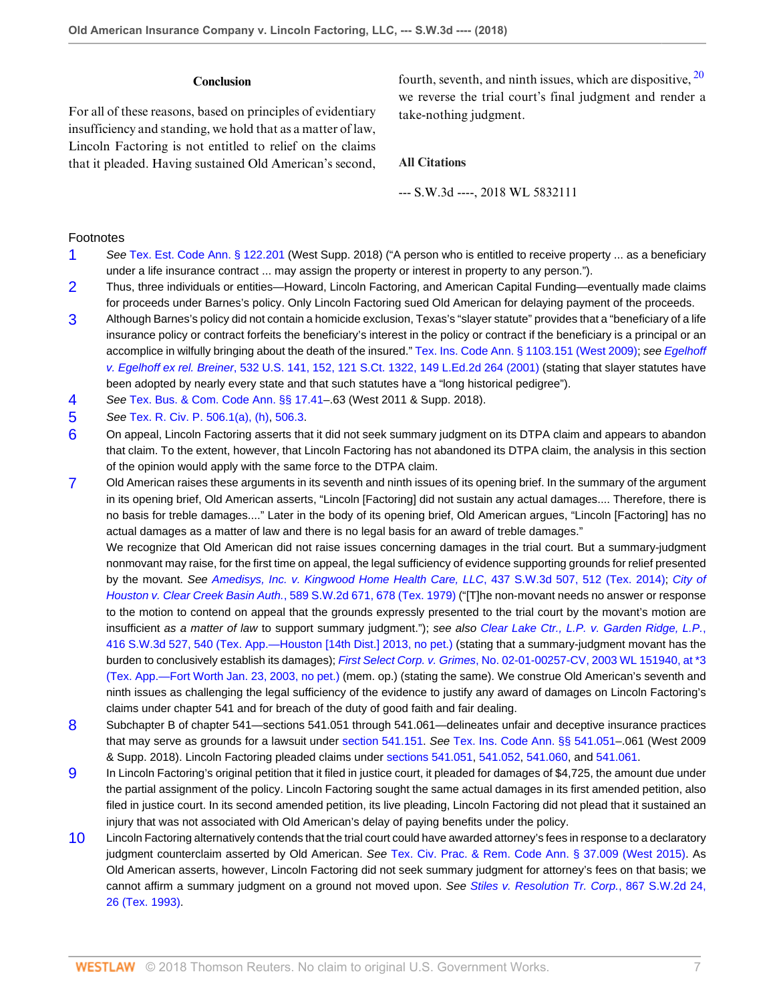#### **Conclusion**

For all of these reasons, based on principles of evidentiary insufficiency and standing, we hold that as a matter of law, Lincoln Factoring is not entitled to relief on the claims that it pleaded. Having sustained Old American's second, <span id="page-6-10"></span>fourth, seventh, and ninth issues, which are dispositive, [20](#page-7-9) we reverse the trial court's final judgment and render a take-nothing judgment.

#### **All Citations**

--- S.W.3d ----, 2018 WL 5832111

#### Footnotes

- <span id="page-6-0"></span>[1](#page-0-0) See [Tex. Est. Code Ann. § 122.201](http://www.westlaw.com/Link/Document/FullText?findType=L&pubNum=1089661&cite=TXESTS122.201&originatingDoc=I26caae20e38611e8a1b0e6625e646f8f&refType=LQ&originationContext=document&vr=3.0&rs=cblt1.0&transitionType=DocumentItem&contextData=(sc.Default)) (West Supp. 2018) ("A person who is entitled to receive property ... as a beneficiary under a life insurance contract ... may assign the property or interest in property to any person.").
- <span id="page-6-1"></span>[2](#page-1-0) Thus, three individuals or entities—Howard, Lincoln Factoring, and American Capital Funding—eventually made claims for proceeds under Barnes's policy. Only Lincoln Factoring sued Old American for delaying payment of the proceeds.
- <span id="page-6-2"></span>[3](#page-1-1) Although Barnes's policy did not contain a homicide exclusion, Texas's "slayer statute" provides that a "beneficiary of a life insurance policy or contract forfeits the beneficiary's interest in the policy or contract if the beneficiary is a principal or an accomplice in wilfully bringing about the death of the insured." [Tex. Ins. Code Ann. § 1103.151 \(West 2009\);](http://www.westlaw.com/Link/Document/FullText?findType=L&pubNum=1000178&cite=TXINS1103.151&originatingDoc=I26caae20e38611e8a1b0e6625e646f8f&refType=LQ&originationContext=document&vr=3.0&rs=cblt1.0&transitionType=DocumentItem&contextData=(sc.Default)) see [Egelhoff](http://www.westlaw.com/Link/Document/FullText?findType=Y&serNum=2001232370&pubNum=0000780&originatingDoc=I26caae20e38611e8a1b0e6625e646f8f&refType=RP&fi=co_pp_sp_780_152&originationContext=document&vr=3.0&rs=cblt1.0&transitionType=DocumentItem&contextData=(sc.Default)#co_pp_sp_780_152) v. Egelhoff ex rel. Breiner[, 532 U.S. 141, 152, 121 S.Ct. 1322, 149 L.Ed.2d 264 \(2001\)](http://www.westlaw.com/Link/Document/FullText?findType=Y&serNum=2001232370&pubNum=0000780&originatingDoc=I26caae20e38611e8a1b0e6625e646f8f&refType=RP&fi=co_pp_sp_780_152&originationContext=document&vr=3.0&rs=cblt1.0&transitionType=DocumentItem&contextData=(sc.Default)#co_pp_sp_780_152) (stating that slayer statutes have been adopted by nearly every state and that such statutes have a "long historical pedigree").
- <span id="page-6-3"></span>[4](#page-1-2) See [Tex. Bus. & Com. Code Ann. §§ 17.41–](http://www.westlaw.com/Link/Document/FullText?findType=L&pubNum=1000168&cite=TXBCS17.41&originatingDoc=I26caae20e38611e8a1b0e6625e646f8f&refType=LQ&originationContext=document&vr=3.0&rs=cblt1.0&transitionType=DocumentItem&contextData=(sc.Default)).63 (West 2011 & Supp. 2018).
- <span id="page-6-4"></span>[5](#page-2-0) See [Tex. R. Civ. P. 506.1\(a\), \(h\),](http://www.westlaw.com/Link/Document/FullText?findType=L&pubNum=1003817&cite=TXRRCPR506.1&originatingDoc=I26caae20e38611e8a1b0e6625e646f8f&refType=LQ&originationContext=document&vr=3.0&rs=cblt1.0&transitionType=DocumentItem&contextData=(sc.Default)) [506.3](http://www.westlaw.com/Link/Document/FullText?findType=L&pubNum=1003817&cite=TXRRCPR506.3&originatingDoc=I26caae20e38611e8a1b0e6625e646f8f&refType=LQ&originationContext=document&vr=3.0&rs=cblt1.0&transitionType=DocumentItem&contextData=(sc.Default)).
- <span id="page-6-5"></span>[6](#page-2-1) On appeal, Lincoln Factoring asserts that it did not seek summary judgment on its DTPA claim and appears to abandon that claim. To the extent, however, that Lincoln Factoring has not abandoned its DTPA claim, the analysis in this section of the opinion would apply with the same force to the DTPA claim.
- <span id="page-6-6"></span>[7](#page-2-2) Old American raises these arguments in its seventh and ninth issues of its opening brief. In the summary of the argument in its opening brief, Old American asserts, "Lincoln [Factoring] did not sustain any actual damages.... Therefore, there is no basis for treble damages...." Later in the body of its opening brief, Old American argues, "Lincoln [Factoring] has no actual damages as a matter of law and there is no legal basis for an award of treble damages."

We recognize that Old American did not raise issues concerning damages in the trial court. But a summary-judgment nonmovant may raise, for the first time on appeal, the legal sufficiency of evidence supporting grounds for relief presented by the movant. See [Amedisys, Inc. v. Kingwood Home Health Care, LLC](http://www.westlaw.com/Link/Document/FullText?findType=Y&serNum=2033361978&pubNum=0004644&originatingDoc=I26caae20e38611e8a1b0e6625e646f8f&refType=RP&fi=co_pp_sp_4644_512&originationContext=document&vr=3.0&rs=cblt1.0&transitionType=DocumentItem&contextData=(sc.Default)#co_pp_sp_4644_512), 437 S.W.3d 507, 512 (Tex. 2014); [City of](http://www.westlaw.com/Link/Document/FullText?findType=Y&serNum=1979131709&pubNum=0000713&originatingDoc=I26caae20e38611e8a1b0e6625e646f8f&refType=RP&fi=co_pp_sp_713_678&originationContext=document&vr=3.0&rs=cblt1.0&transitionType=DocumentItem&contextData=(sc.Default)#co_pp_sp_713_678) [Houston v. Clear Creek Basin Auth.](http://www.westlaw.com/Link/Document/FullText?findType=Y&serNum=1979131709&pubNum=0000713&originatingDoc=I26caae20e38611e8a1b0e6625e646f8f&refType=RP&fi=co_pp_sp_713_678&originationContext=document&vr=3.0&rs=cblt1.0&transitionType=DocumentItem&contextData=(sc.Default)#co_pp_sp_713_678), 589 S.W.2d 671, 678 (Tex. 1979) ("[T]he non-movant needs no answer or response to the motion to contend on appeal that the grounds expressly presented to the trial court by the movant's motion are insufficient as a matter of law to support summary judgment."); see also [Clear Lake Ctr., L.P. v. Garden Ridge, L.P.](http://www.westlaw.com/Link/Document/FullText?findType=Y&serNum=2031090472&pubNum=0004644&originatingDoc=I26caae20e38611e8a1b0e6625e646f8f&refType=RP&fi=co_pp_sp_4644_540&originationContext=document&vr=3.0&rs=cblt1.0&transitionType=DocumentItem&contextData=(sc.Default)#co_pp_sp_4644_540), [416 S.W.3d 527, 540 \(Tex. App.—Houston \[14th Dist.\] 2013, no pet.\)](http://www.westlaw.com/Link/Document/FullText?findType=Y&serNum=2031090472&pubNum=0004644&originatingDoc=I26caae20e38611e8a1b0e6625e646f8f&refType=RP&fi=co_pp_sp_4644_540&originationContext=document&vr=3.0&rs=cblt1.0&transitionType=DocumentItem&contextData=(sc.Default)#co_pp_sp_4644_540) (stating that a summary-judgment movant has the burden to conclusively establish its damages); First Select Corp. v. Grimes[, No. 02-01-00257-CV, 2003 WL 151940, at \\*3](http://www.westlaw.com/Link/Document/FullText?findType=Y&serNum=2003097660&pubNum=0000999&originatingDoc=I26caae20e38611e8a1b0e6625e646f8f&refType=RP&originationContext=document&vr=3.0&rs=cblt1.0&transitionType=DocumentItem&contextData=(sc.Default)) [\(Tex. App.—Fort Worth Jan. 23, 2003, no pet.\)](http://www.westlaw.com/Link/Document/FullText?findType=Y&serNum=2003097660&pubNum=0000999&originatingDoc=I26caae20e38611e8a1b0e6625e646f8f&refType=RP&originationContext=document&vr=3.0&rs=cblt1.0&transitionType=DocumentItem&contextData=(sc.Default)) (mem. op.) (stating the same). We construe Old American's seventh and ninth issues as challenging the legal sufficiency of the evidence to justify any award of damages on Lincoln Factoring's claims under chapter 541 and for breach of the duty of good faith and fair dealing.

- <span id="page-6-7"></span>[8](#page-2-3) Subchapter B of chapter 541—sections 541.051 through 541.061—delineates unfair and deceptive insurance practices that may serve as grounds for a lawsuit under [section 541.151](http://www.westlaw.com/Link/Document/FullText?findType=L&pubNum=1000178&cite=TXINS541.151&originatingDoc=I26caae20e38611e8a1b0e6625e646f8f&refType=LQ&originationContext=document&vr=3.0&rs=cblt1.0&transitionType=DocumentItem&contextData=(sc.Default)). See [Tex. Ins. Code Ann. §§ 541.051–](http://www.westlaw.com/Link/Document/FullText?findType=L&pubNum=1000178&cite=TXINS541.051&originatingDoc=I26caae20e38611e8a1b0e6625e646f8f&refType=LQ&originationContext=document&vr=3.0&rs=cblt1.0&transitionType=DocumentItem&contextData=(sc.Default)).061 (West 2009 & Supp. 2018). Lincoln Factoring pleaded claims under [sections 541.051,](http://www.westlaw.com/Link/Document/FullText?findType=L&pubNum=1000178&cite=TXINS541.051&originatingDoc=I26caae20e38611e8a1b0e6625e646f8f&refType=LQ&originationContext=document&vr=3.0&rs=cblt1.0&transitionType=DocumentItem&contextData=(sc.Default)) [541.052](http://www.westlaw.com/Link/Document/FullText?findType=L&pubNum=1000178&cite=TXINS541.052&originatingDoc=I26caae20e38611e8a1b0e6625e646f8f&refType=LQ&originationContext=document&vr=3.0&rs=cblt1.0&transitionType=DocumentItem&contextData=(sc.Default)), [541.060,](http://www.westlaw.com/Link/Document/FullText?findType=L&pubNum=1000178&cite=TXINS541.060&originatingDoc=I26caae20e38611e8a1b0e6625e646f8f&refType=LQ&originationContext=document&vr=3.0&rs=cblt1.0&transitionType=DocumentItem&contextData=(sc.Default)) and [541.061.](http://www.westlaw.com/Link/Document/FullText?findType=L&pubNum=1000178&cite=TXINS541.061&originatingDoc=I26caae20e38611e8a1b0e6625e646f8f&refType=LQ&originationContext=document&vr=3.0&rs=cblt1.0&transitionType=DocumentItem&contextData=(sc.Default))
- <span id="page-6-8"></span>[9](#page-3-0) In Lincoln Factoring's original petition that it filed in justice court, it pleaded for damages of \$4,725, the amount due under the partial assignment of the policy. Lincoln Factoring sought the same actual damages in its first amended petition, also filed in justice court. In its second amended petition, its live pleading, Lincoln Factoring did not plead that it sustained an injury that was not associated with Old American's delay of paying benefits under the policy.
- <span id="page-6-9"></span>[10](#page-4-0) Lincoln Factoring alternatively contends that the trial court could have awarded attorney's fees in response to a declaratory judgment counterclaim asserted by Old American. See [Tex. Civ. Prac. & Rem. Code Ann. § 37.009 \(West 2015\).](http://www.westlaw.com/Link/Document/FullText?findType=L&pubNum=1000170&cite=TXCPS37.009&originatingDoc=I26caae20e38611e8a1b0e6625e646f8f&refType=LQ&originationContext=document&vr=3.0&rs=cblt1.0&transitionType=DocumentItem&contextData=(sc.Default)) As Old American asserts, however, Lincoln Factoring did not seek summary judgment for attorney's fees on that basis; we cannot affirm a summary judgment on a ground not moved upon. See [Stiles v. Resolution Tr. Corp.](http://www.westlaw.com/Link/Document/FullText?findType=Y&serNum=1993231234&pubNum=0000713&originatingDoc=I26caae20e38611e8a1b0e6625e646f8f&refType=RP&fi=co_pp_sp_713_26&originationContext=document&vr=3.0&rs=cblt1.0&transitionType=DocumentItem&contextData=(sc.Default)#co_pp_sp_713_26), 867 S.W.2d 24, [26 \(Tex. 1993\).](http://www.westlaw.com/Link/Document/FullText?findType=Y&serNum=1993231234&pubNum=0000713&originatingDoc=I26caae20e38611e8a1b0e6625e646f8f&refType=RP&fi=co_pp_sp_713_26&originationContext=document&vr=3.0&rs=cblt1.0&transitionType=DocumentItem&contextData=(sc.Default)#co_pp_sp_713_26)